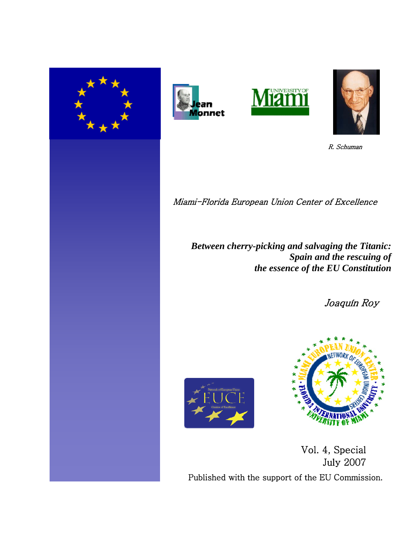







R. Schuman

Miami-Florida European Union Center of Excellence

*Between cherry-picking and salvaging the Titanic: Spain and the rescuing of the essence of the EU Constitution*

Joaquín Roy





Vol. 4, Special July 2007 Published with the support of the EU Commission.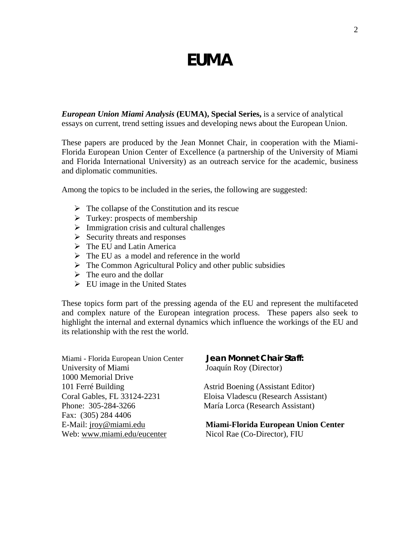# **EUMA**

*European Union Miami Analysis* **(EUMA), Special Series,** is a service of analytical essays on current, trend setting issues and developing news about the European Union.

These papers are produced by the Jean Monnet Chair, in cooperation with the Miami-Florida European Union Center of Excellence (a partnership of the University of Miami and Florida International University) as an outreach service for the academic, business and diplomatic communities.

Among the topics to be included in the series, the following are suggested:

- $\triangleright$  The collapse of the Constitution and its rescue
- $\triangleright$  Turkey: prospects of membership
- $\triangleright$  Immigration crisis and cultural challenges
- $\triangleright$  Security threats and responses
- $\triangleright$  The EU and Latin America
- $\triangleright$  The EU as a model and reference in the world
- $\triangleright$  The Common Agricultural Policy and other public subsidies
- $\triangleright$  The euro and the dollar
- $\triangleright$  EU image in the United States

These topics form part of the pressing agenda of the EU and represent the multifaceted and complex nature of the European integration process. These papers also seek to highlight the internal and external dynamics which influence the workings of the EU and its relationship with the rest the world.

| Miami - Florida European Union Center | Jean Monnet Chair Staff:             |
|---------------------------------------|--------------------------------------|
| University of Miami                   | Joaquín Roy (Director)               |
| 1000 Memorial Drive                   |                                      |
| 101 Ferré Building                    | Astrid Boening (Assistant Editor)    |
| Coral Gables, FL 33124-2231           | Eloisa Vladescu (Research Assistant) |
| Phone: 305-284-3266                   | María Lorca (Research Assistant)     |
| Fax: (305) 284 4406                   |                                      |
| E-Mail: jroy@miami.edu                | Miami-Florida European Union Center  |
| Web: www.miami.edu/eucenter           | Nicol Rae (Co-Director), FIU         |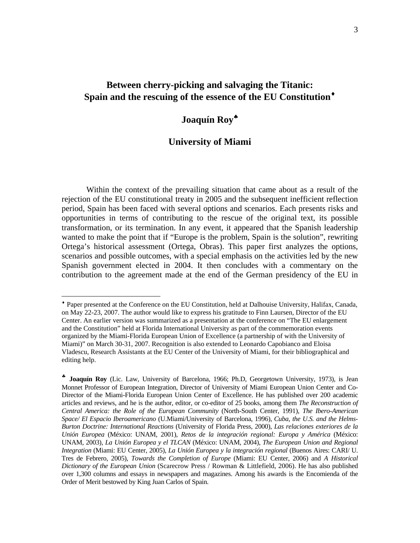# **Between cherry-picking and salvaging the Titanic: Spain and the rescuing of the essence of the EU Constitution**♦

# **Joaquín Roy**♣

# **University of Miami**

 Within the context of the prevailing situation that came about as a result of the rejection of the EU constitutional treaty in 2005 and the subsequent inefficient reflection period, Spain has been faced with several options and scenarios. Each presents risks and opportunities in terms of contributing to the rescue of the original text, its possible transformation, or its termination. In any event, it appeared that the Spanish leadership wanted to make the point that if "Europe is the problem, Spain is the solution", rewriting Ortega's historical assessment (Ortega, Obras). This paper first analyzes the options, scenarios and possible outcomes, with a special emphasis on the activities led by the new Spanish government elected in 2004. It then concludes with a commentary on the contribution to the agreement made at the end of the German presidency of the EU in

<u>.</u>

<sup>♦</sup> Paper presented at the Conference on the EU Constitution, held at Dalhouise University, Halifax, Canada, on May 22-23, 2007. The author would like to express his gratitude to Finn Laursen, Director of the EU Center. An earlier version was summarized as a presentation at the conference on "The EU enlargement and the Constitution" held at Florida International University as part of the commemoration events organized by the Miami-Florida European Union of Excellence (a partnership of with the University of Miami)" on March 30-31, 2007. Recognition is also extended to Leonardo Capobianco and Eloisa Vladescu, Research Assistants at the EU Center of the University of Miami, for their bibliographical and editing help.

<sup>♣</sup> **Joaquín Roy** (Lic. Law, University of Barcelona, 1966; Ph.D, Georgetown University, 1973), is Jean Monnet Professor of European Integration, Director of University of Miami European Union Center and Co-Director of the Miami-Florida European Union Center of Excellence. He has published over 200 academic articles and reviews, and he is the author, editor, or co-editor of 25 books, among them *The Reconstruction of Central America: the Role of the European Community* (North-South Center, 1991), *The Ibero-American Space/ El Espacio Iberoamericano* (U.Miami/University of Barcelona, 1996), *Cuba, the U.S. and the Helms-Burton Doctrine: International Reactions* (University of Florida Press, 2000), *Las relaciones exteriores de la Unión Europea* (México: UNAM, 2001), *Retos de la integración regional: Europa y América* (México: UNAM, 2003), *La Unión Europea y el TLCAN* (México: UNAM, 2004), *The European Union and Regional Integration* (Miami: EU Center, 2005), *La Unión Europea y la integración regional* (Buenos Aires: CARI/ U. Tres de Febrero, 2005), *Towards the Completion of Europe* (Miami: EU Center, 2006) and *A Historical Dictionary of the European Union* (Scarecrow Press / Rowman & Littlefield, 2006). He has also published over 1,300 columns and essays in newspapers and magazines. Among his awards is the Encomienda of the Order of Merit bestowed by King Juan Carlos of Spain.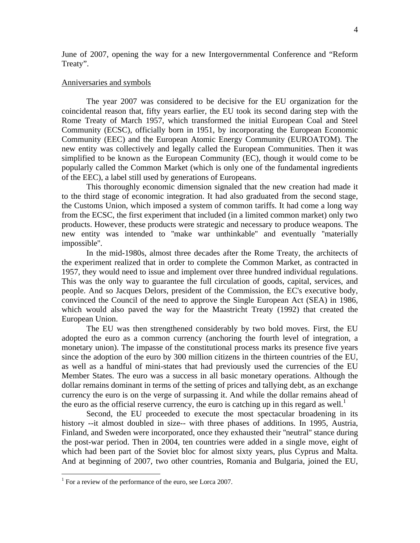June of 2007, opening the way for a new Intergovernmental Conference and "Reform Treaty".

### Anniversaries and symbols

 The year 2007 was considered to be decisive for the EU organization for the coincidental reason that, fifty years earlier, the EU took its second daring step with the Rome Treaty of March 1957, which transformed the initial European Coal and Steel Community (ECSC), officially born in 1951, by incorporating the European Economic Community (EEC) and the European Atomic Energy Community (EUROATOM). The new entity was collectively and legally called the European Communities. Then it was simplified to be known as the European Community (EC), though it would come to be popularly called the Common Market (which is only one of the fundamental ingredients of the EEC), a label still used by generations of Europeans.

 This thoroughly economic dimension signaled that the new creation had made it to the third stage of economic integration. It had also graduated from the second stage, the Customs Union, which imposed a system of common tariffs. It had come a long way from the ECSC, the first experiment that included (in a limited common market) only two products. However, these products were strategic and necessary to produce weapons. The new entity was intended to ''make war unthinkable'' and eventually ''materially impossible''.

 In the mid-1980s, almost three decades after the Rome Treaty, the architects of the experiment realized that in order to complete the Common Market, as contracted in 1957, they would need to issue and implement over three hundred individual regulations. This was the only way to guarantee the full circulation of goods, capital, services, and people. And so Jacques Delors, president of the Commission, the EC's executive body, convinced the Council of the need to approve the Single European Act (SEA) in 1986, which would also paved the way for the Maastricht Treaty (1992) that created the European Union.

 The EU was then strengthened considerably by two bold moves. First, the EU adopted the euro as a common currency (anchoring the fourth level of integration, a monetary union). The impasse of the constitutional process marks its presence five years since the adoption of the euro by 300 million citizens in the thirteen countries of the EU, as well as a handful of mini-states that had previously used the currencies of the EU Member States. The euro was a success in all basic monetary operations. Although the dollar remains dominant in terms of the setting of prices and tallying debt, as an exchange currency the euro is on the verge of surpassing it. And while the dollar remains ahead of the euro as the official reserve currency, the euro is catching up in this regard as well.<sup>1</sup>

Second, the EU proceeded to execute the most spectacular broadening in its history --it almost doubled in size-- with three phases of additions. In 1995, Austria, Finland, and Sweden were incorporated, once they exhausted their ''neutral'' stance during the post-war period. Then in 2004, ten countries were added in a single move, eight of which had been part of the Soviet bloc for almost sixty years, plus Cyprus and Malta. And at beginning of 2007, two other countries, Romania and Bulgaria, joined the EU,

1

<sup>&</sup>lt;sup>1</sup> For a review of the performance of the euro, see Lorca 2007.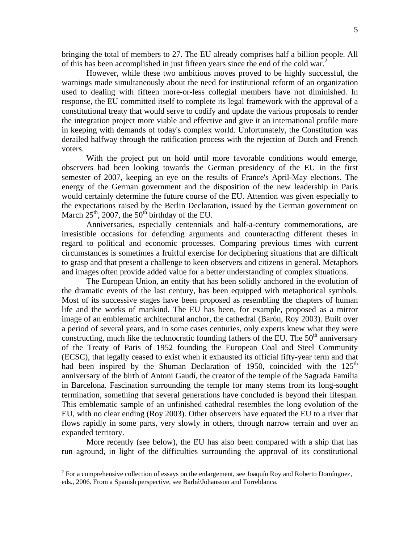bringing the total of members to 27. The EU already comprises half a billion people. All of this has been accomplished in just fifteen years since the end of the cold war.<sup>2</sup>

 However, while these two ambitious moves proved to be highly successful, the warnings made simultaneously about the need for institutional reform of an organization used to dealing with fifteen more-or-less collegial members have not diminished. In response, the EU committed itself to complete its legal framework with the approval of a constitutional treaty that would serve to codify and update the various proposals to render the integration project more viable and effective and give it an international profile more in keeping with demands of today's complex world. Unfortunately, the Constitution was derailed halfway through the ratification process with the rejection of Dutch and French voters.

 With the project put on hold until more favorable conditions would emerge, observers had been looking towards the German presidency of the EU in the first semester of 2007, keeping an eye on the results of France's April-May elections. The energy of the German government and the disposition of the new leadership in Paris would certainly determine the future course of the EU. Attention was given especially to the expectations raised by the Berlin Declaration, issued by the German government on March  $25^{th}$ , 2007, the  $50^{th}$  birthday of the EU.

 Anniversaries, especially centennials and half-a-century commemorations, are irresistible occasions for defending arguments and counteracting different theses in regard to political and economic processes. Comparing previous times with current circumstances is sometimes a fruitful exercise for deciphering situations that are difficult to grasp and that present a challenge to keen observers and citizens in general. Metaphors and images often provide added value for a better understanding of complex situations.

 The European Union, an entity that has been solidly anchored in the evolution of the dramatic events of the last century, has been equipped with metaphorical symbols. Most of its successive stages have been proposed as resembling the chapters of human life and the works of mankind. The EU has been, for example, proposed as a mirror image of an emblematic architectural anchor, the cathedral (Barón, Roy 2003). Built over a period of several years, and in some cases centuries, only experts knew what they were constructing, much like the technocratic founding fathers of the EU. The  $50<sup>th</sup>$  anniversary of the Treaty of Paris of 1952 founding the European Coal and Steel Community (ECSC), that legally ceased to exist when it exhausted its official fifty-year term and that had been inspired by the Shuman Declaration of 1950, coincided with the  $125<sup>th</sup>$ anniversary of the birth of Antoni Gaudí, the creator of the temple of the Sagrada Familia in Barcelona. Fascination surrounding the temple for many stems from its long-sought termination, something that several generations have concluded is beyond their lifespan. This emblematic sample of an unfinished cathedral resembles the long evolution of the EU, with no clear ending (Roy 2003). Other observers have equated the EU to a river that flows rapidly in some parts, very slowly in others, through narrow terrain and over an expanded territory.

More recently (see below), the EU has also been compared with a ship that has run aground, in light of the difficulties surrounding the approval of its constitutional

 $2^2$  For a comprehensive collection of essays on the enlargement, see Joaquín Roy and Roberto Domínguez, eds., 2006. From a Spanish perspective, see Barbé/Johansson and Torreblanca.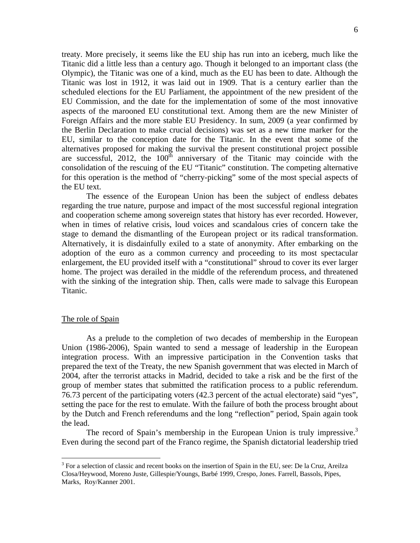Titanic was lost in 1912, it was laid out in 1909. That is a century earlier than the scheduled elections for the EU Parliament, the appointment of the new president of the EU Commission, and the date for the implementation of some of the most innovative aspects of the marooned EU constitutional text. Among them are the new Minister of Foreign Affairs and the more stable EU Presidency. In sum, 2009 (a year confirmed by the Berlin Declaration to make crucial decisions) was set as a new time marker for the EU, similar to the conception date for the Titanic. In the event that some of the alternatives proposed for making the survival the present constitutional project possible are successful, 2012, the  $100<sup>th</sup>$  anniversary of the Titanic may coincide with the consolidation of the rescuing of the EU "Titanic" constitution. The competing alternative for this operation is the method of "cherry-picking" some of the most special aspects of the EU text.

The essence of the European Union has been the subject of endless debates regarding the true nature, purpose and impact of the most successful regional integration and cooperation scheme among sovereign states that history has ever recorded. However, when in times of relative crisis, loud voices and scandalous cries of concern take the stage to demand the dismantling of the European project or its radical transformation. Alternatively, it is disdainfully exiled to a state of anonymity. After embarking on the adoption of the euro as a common currency and proceeding to its most spectacular enlargement, the EU provided itself with a "constitutional" shroud to cover its ever larger home. The project was derailed in the middle of the referendum process, and threatened with the sinking of the integration ship. Then, calls were made to salvage this European Titanic.

## The role of Spain

 As a prelude to the completion of two decades of membership in the European Union (1986-2006), Spain wanted to send a message of leadership in the European integration process. With an impressive participation in the Convention tasks that prepared the text of the Treaty, the new Spanish government that was elected in March of 2004, after the terrorist attacks in Madrid, decided to take a risk and be the first of the group of member states that submitted the ratification process to a public referendum. 76.73 percent of the participating voters (42.3 percent of the actual electorate) said "yes", setting the pace for the rest to emulate. With the failure of both the process brought about by the Dutch and French referendums and the long "reflection" period, Spain again took the lead.

The record of Spain's membership in the European Union is truly impressive.<sup>3</sup> Even during the second part of the Franco regime, the Spanish dictatorial leadership tried

<sup>&</sup>lt;sup>3</sup> For a selection of classic and recent books on the insertion of Spain in the EU, see: De la Cruz, Areilza Closa/Heywood, Moreno Juste, Gillespie/Youngs, Barbé 1999, Crespo, Jones. Farrell, Bassols, Pipes, Marks, Roy/Kanner 2001.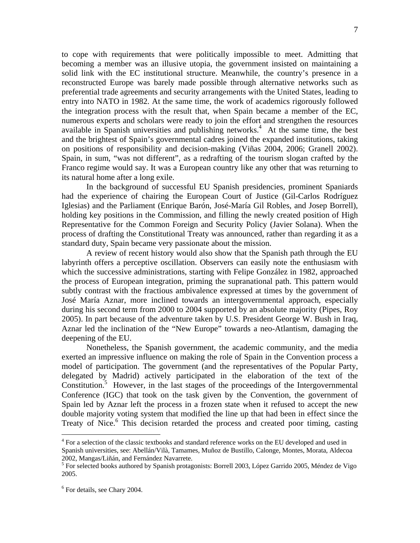to cope with requirements that were politically impossible to meet. Admitting that becoming a member was an illusive utopia, the government insisted on maintaining a solid link with the EC institutional structure. Meanwhile, the country's presence in a reconstructed Europe was barely made possible through alternative networks such as preferential trade agreements and security arrangements with the United States, leading to entry into NATO in 1982. At the same time, the work of academics rigorously followed the integration process with the result that, when Spain became a member of the EC, numerous experts and scholars were ready to join the effort and strengthen the resources available in Spanish universities and publishing networks.<sup>4</sup> At the same time, the best and the brightest of Spain's governmental cadres joined the expanded institutions, taking on positions of responsibility and decision-making (Viñas 2004, 2006; Granell 2002). Spain, in sum, "was not different", as a redrafting of the tourism slogan crafted by the Franco regime would say. It was a European country like any other that was returning to its natural home after a long exile.

 In the background of successful EU Spanish presidencies, prominent Spaniards had the experience of chairing the European Court of Justice (Gil-Carlos Rodríguez Iglesias) and the Parliament (Enrique Barón, José-María Gil Robles, and Josep Borrell), holding key positions in the Commission, and filling the newly created position of High Representative for the Common Foreign and Security Policy (Javier Solana). When the process of drafting the Constitutional Treaty was announced, rather than regarding it as a standard duty, Spain became very passionate about the mission.

 A review of recent history would also show that the Spanish path through the EU labyrinth offers a perceptive oscillation. Observers can easily note the enthusiasm with which the successive administrations, starting with Felipe González in 1982, approached the process of European integration, priming the supranational path. This pattern would subtly contrast with the fractious ambivalence expressed at times by the government of José María Aznar, more inclined towards an intergovernmental approach, especially during his second term from 2000 to 2004 supported by an absolute majority (Pipes, Roy 2005). In part because of the adventure taken by U.S. President George W. Bush in Iraq, Aznar led the inclination of the "New Europe" towards a neo-Atlantism, damaging the deepening of the EU.

 Nonetheless, the Spanish government, the academic community, and the media exerted an impressive influence on making the role of Spain in the Convention process a model of participation. The government (and the representatives of the Popular Party, delegated by Madrid) actively participated in the elaboration of the text of the Constitution.<sup>5</sup> However, in the last stages of the proceedings of the Intergovernmental Conference (IGC) that took on the task given by the Convention, the government of Spain led by Aznar left the process in a frozen state when it refused to accept the new double majority voting system that modified the line up that had been in effect since the Treaty of Nice.<sup>6</sup> This decision retarded the process and created poor timing, casting

<u>.</u>

<sup>&</sup>lt;sup>4</sup> For a selection of the classic textbooks and standard reference works on the EU developed and used in Spanish universities, see: Abellán/Vilà, Tamames, Muñoz de Bustillo, Calonge, Montes, Morata, Aldecoa 2002, Mangas/Liñán, and Fernández Navarrete.<br><sup>5</sup> For selected books authored by Spanish protagonists: Borrell 2003, López Garrido 2005, Méndez de Vigo

<sup>2005.</sup> 

<sup>6</sup> For details, see Chary 2004.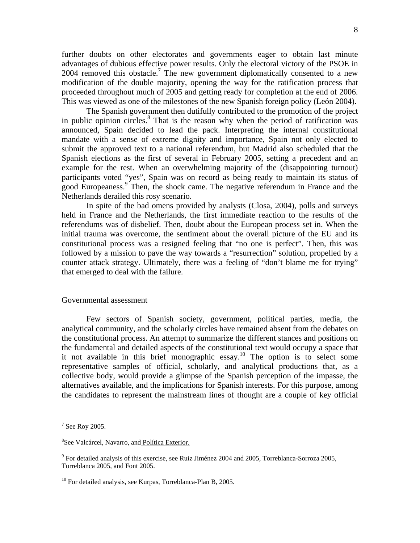further doubts on other electorates and governments eager to obtain last minute advantages of dubious effective power results. Only the electoral victory of the PSOE in  $2004$  removed this obstacle.<sup>7</sup> The new government diplomatically consented to a new modification of the double majority, opening the way for the ratification process that proceeded throughout much of 2005 and getting ready for completion at the end of 2006. This was viewed as one of the milestones of the new Spanish foreign policy (León 2004).

 The Spanish government then dutifully contributed to the promotion of the project in public opinion circles. $8$  That is the reason why when the period of ratification was announced, Spain decided to lead the pack. Interpreting the internal constitutional mandate with a sense of extreme dignity and importance, Spain not only elected to submit the approved text to a national referendum, but Madrid also scheduled that the Spanish elections as the first of several in February 2005, setting a precedent and an example for the rest. When an overwhelming majority of the (disappointing turnout) participants voted "yes", Spain was on record as being ready to maintain its status of good Europeaness.<sup>9</sup> Then, the shock came. The negative referendum in France and the Netherlands derailed this rosy scenario.

 In spite of the bad omens provided by analysts (Closa, 2004), polls and surveys held in France and the Netherlands, the first immediate reaction to the results of the referendums was of disbelief. Then, doubt about the European process set in. When the initial trauma was overcome, the sentiment about the overall picture of the EU and its constitutional process was a resigned feeling that "no one is perfect". Then, this was followed by a mission to pave the way towards a "resurrection" solution, propelled by a counter attack strategy. Ultimately, there was a feeling of "don't blame me for trying" that emerged to deal with the failure.

#### Governmental assessment

Few sectors of Spanish society, government, political parties, media, the analytical community, and the scholarly circles have remained absent from the debates on the constitutional process. An attempt to summarize the different stances and positions on the fundamental and detailed aspects of the constitutional text would occupy a space that it not available in this brief monographic essay.<sup>10</sup> The option is to select some representative samples of official, scholarly, and analytical productions that, as a collective body, would provide a glimpse of the Spanish perception of the impasse, the alternatives available, and the implications for Spanish interests. For this purpose, among the candidates to represent the mainstream lines of thought are a couple of key official

 $7$  See Roy 2005.

<sup>&</sup>lt;sup>8</sup>See Valcárcel, Navarro, and Política Exterior.

 $9^9$  For detailed analysis of this exercise, see Ruiz Jiménez 2004 and 2005, Torreblanca-Sorroza 2005, Torreblanca 2005, and Font 2005.

<sup>&</sup>lt;sup>10</sup> For detailed analysis, see Kurpas, Torreblanca-Plan B, 2005.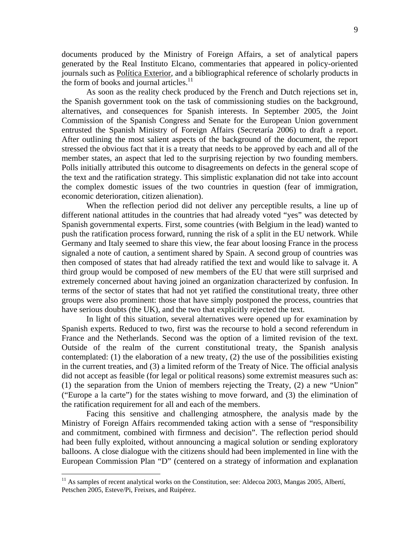documents produced by the Ministry of Foreign Affairs, a set of analytical papers generated by the Real Instituto Elcano, commentaries that appeared in policy-oriented journals such as Política Exterior, and a bibliographical reference of scholarly products in the form of books and journal articles.<sup>11</sup>

 As soon as the reality check produced by the French and Dutch rejections set in, the Spanish government took on the task of commissioning studies on the background, alternatives, and consequences for Spanish interests. In September 2005, the Joint Commission of the Spanish Congress and Senate for the European Union government entrusted the Spanish Ministry of Foreign Affairs (Secretaría 2006) to draft a report. After outlining the most salient aspects of the background of the document, the report stressed the obvious fact that it is a treaty that needs to be approved by each and all of the member states, an aspect that led to the surprising rejection by two founding members. Polls initially attributed this outcome to disagreements on defects in the general scope of the text and the ratification strategy. This simplistic explanation did not take into account the complex domestic issues of the two countries in question (fear of immigration, economic deterioration, citizen alienation).

 When the reflection period did not deliver any perceptible results, a line up of different national attitudes in the countries that had already voted "yes" was detected by Spanish governmental experts. First, some countries (with Belgium in the lead) wanted to push the ratification process forward, running the risk of a split in the EU network. While Germany and Italy seemed to share this view, the fear about loosing France in the process signaled a note of caution, a sentiment shared by Spain. A second group of countries was then composed of states that had already ratified the text and would like to salvage it. A third group would be composed of new members of the EU that were still surprised and extremely concerned about having joined an organization characterized by confusion. In terms of the sector of states that had not yet ratified the constitutional treaty, three other groups were also prominent: those that have simply postponed the process, countries that have serious doubts (the UK), and the two that explicitly rejected the text.

 In light of this situation, several alternatives were opened up for examination by Spanish experts. Reduced to two, first was the recourse to hold a second referendum in France and the Netherlands. Second was the option of a limited revision of the text. Outside of the realm of the current constitutional treaty, the Spanish analysis contemplated: (1) the elaboration of a new treaty, (2) the use of the possibilities existing in the current treaties, and (3) a limited reform of the Treaty of Nice. The official analysis did not accept as feasible (for legal or political reasons) some extremist measures such as: (1) the separation from the Union of members rejecting the Treaty, (2) a new "Union" ("Europe a la carte") for the states wishing to move forward, and (3) the elimination of the ratification requirement for all and each of the members.

 Facing this sensitive and challenging atmosphere, the analysis made by the Ministry of Foreign Affairs recommended taking action with a sense of "responsibility and commitment, combined with firmness and decision". The reflection period should had been fully exploited, without announcing a magical solution or sending exploratory balloons. A close dialogue with the citizens should had been implemented in line with the European Commission Plan "D" (centered on a strategy of information and explanation

<sup>&</sup>lt;sup>11</sup> As samples of recent analytical works on the Constitution, see: Aldecoa 2003, Mangas 2005, Albertí, Petschen 2005, Esteve/Pi, Freixes, and Ruipérez.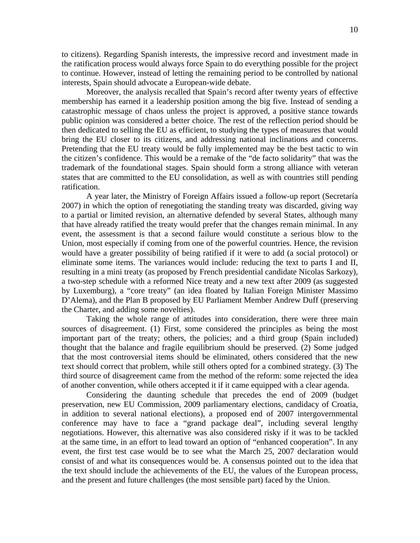to citizens). Regarding Spanish interests, the impressive record and investment made in the ratification process would always force Spain to do everything possible for the project to continue. However, instead of letting the remaining period to be controlled by national interests, Spain should advocate a European-wide debate.

 Moreover, the analysis recalled that Spain's record after twenty years of effective membership has earned it a leadership position among the big five. Instead of sending a catastrophic message of chaos unless the project is approved, a positive stance towards public opinion was considered a better choice. The rest of the reflection period should be then dedicated to selling the EU as efficient, to studying the types of measures that would bring the EU closer to its citizens, and addressing national inclinations and concerns. Pretending that the EU treaty would be fully implemented may be the best tactic to win the citizen's confidence. This would be a remake of the "de facto solidarity" that was the trademark of the foundational stages. Spain should form a strong alliance with veteran states that are committed to the EU consolidation, as well as with countries still pending ratification.

 A year later, the Ministry of Foreign Affairs issued a follow-up report (Secretaría 2007) in which the option of renegotiating the standing treaty was discarded, giving way to a partial or limited revision, an alternative defended by several States, although many that have already ratified the treaty would prefer that the changes remain minimal. In any event, the assessment is that a second failure would constitute a serious blow to the Union, most especially if coming from one of the powerful countries. Hence, the revision would have a greater possibility of being ratified if it were to add (a social protocol) or eliminate some items. The variances would include: reducing the text to parts I and II, resulting in a mini treaty (as proposed by French presidential candidate Nicolas Sarkozy), a two-step schedule with a reformed Nice treaty and a new text after 2009 (as suggested by Luxemburg), a "core treaty" (an idea floated by Italian Foreign Minister Massimo D'Alema), and the Plan B proposed by EU Parliament Member Andrew Duff (preserving the Charter, and adding some novelties).

 Taking the whole range of attitudes into consideration, there were three main sources of disagreement. (1) First, some considered the principles as being the most important part of the treaty; others, the policies; and a third group (Spain included) thought that the balance and fragile equilibrium should be preserved. (2) Some judged that the most controversial items should be eliminated, others considered that the new text should correct that problem, while still others opted for a combined strategy. (3) The third source of disagreement came from the method of the reform: some rejected the idea of another convention, while others accepted it if it came equipped with a clear agenda.

 Considering the daunting schedule that precedes the end of 2009 (budget preservation, new EU Commission, 2009 parliamentary elections, candidacy of Croatia, in addition to several national elections), a proposed end of 2007 intergovernmental conference may have to face a "grand package deal", including several lengthy negotiations. However, this alternative was also considered risky if it was to be tackled at the same time, in an effort to lead toward an option of "enhanced cooperation". In any event, the first test case would be to see what the March 25, 2007 declaration would consist of and what its consequences would be. A consensus pointed out to the idea that the text should include the achievements of the EU, the values of the European process, and the present and future challenges (the most sensible part) faced by the Union.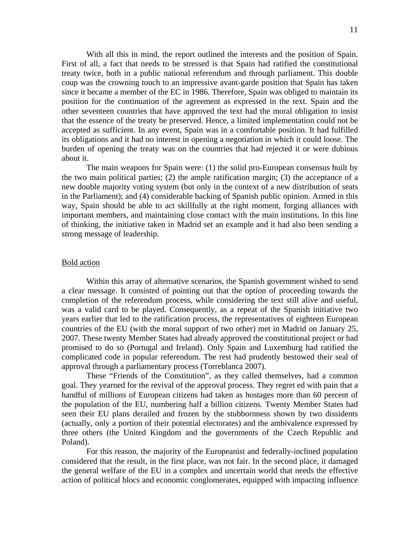With all this in mind, the report outlined the interests and the position of Spain. First of all, a fact that needs to be stressed is that Spain had ratified the constitutional treaty twice, both in a public national referendum and through parliament. This double coup was the crowning touch to an impressive avant-garde position that Spain has taken since it became a member of the EC in 1986. Therefore, Spain was obliged to maintain its position for the continuation of the agreement as expressed in the text. Spain and the other seventeen countries that have approved the text had the moral obligation to insist that the essence of the treaty be preserved. Hence, a limited implementation could not be accepted as sufficient. In any event, Spain was in a comfortable position. It had fulfilled its obligations and it had no interest in opening a negotiation in which it could loose. The burden of opening the treaty was on the countries that had rejected it or were dubious about it.

The main weapons for Spain were: (1) the solid pro-European consensus built by the two main political parties; (2) the ample ratification margin; (3) the acceptance of a new double majority voting system (but only in the context of a new distribution of seats in the Parliament); and (4) considerable backing of Spanish public opinion. Armed in this way, Spain should be able to act skillfully at the right moment, forging alliances with important members, and maintaining close contact with the main institutions. In this line of thinking, the initiative taken in Madrid set an example and it had also been sending a strong message of leadership.

#### Bold action

 Within this array of alternative scenarios, the Spanish government wished to send a clear message. It consisted of pointing out that the option of proceeding towards the completion of the referendum process, while considering the text still alive and useful, was a valid card to be played. Consequently, as a repeat of the Spanish initiative two years earlier that led to the ratification process, the representatives of eighteen European countries of the EU (with the moral support of two other) met in Madrid on January 25, 2007. These twenty Member States had already approved the constitutional project or had promised to do so (Portugal and Ireland). Only Spain and Luxemburg had ratified the complicated code in popular referendum. The rest had prudently bestowed their seal of approval through a parliamentary process (Torreblanca 2007).

 These "Friends of the Constitution", as they called themselves, had a common goal. They yearned for the revival of the approval process. They regret ed with pain that a handful of millions of European citizens had taken as hostages more than 60 percent of the population of the EU, numbering half a billion citizens. Twenty Member States had seen their EU plans derailed and frozen by the stubbornness shown by two dissidents (actually, only a portion of their potential electorates) and the ambivalence expressed by three others (the United Kingdom and the governments of the Czech Republic and Poland).

 For this reason, the majority of the Europeanist and federally-inclined population considered that the result, in the first place, was not fair. In the second place, it damaged the general welfare of the EU in a complex and uncertain world that needs the effective action of political blocs and economic conglomerates, equipped with impacting influence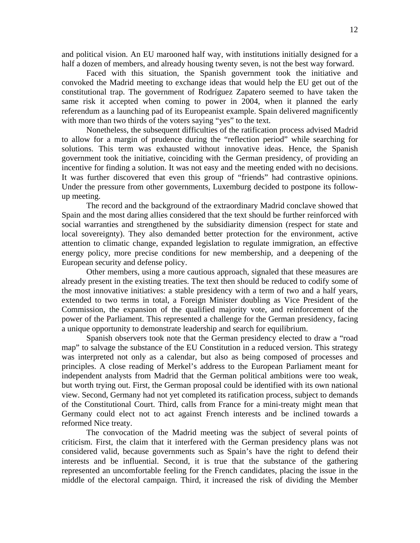and political vision. An EU marooned half way, with institutions initially designed for a half a dozen of members, and already housing twenty seven, is not the best way forward.

 Faced with this situation, the Spanish government took the initiative and convoked the Madrid meeting to exchange ideas that would help the EU get out of the constitutional trap. The government of Rodríguez Zapatero seemed to have taken the same risk it accepted when coming to power in 2004, when it planned the early referendum as a launching pad of its Europeanist example. Spain delivered magnificently with more than two thirds of the voters saying "yes" to the text.

 Nonetheless, the subsequent difficulties of the ratification process advised Madrid to allow for a margin of prudence during the "reflection period" while searching for solutions. This term was exhausted without innovative ideas. Hence, the Spanish government took the initiative, coinciding with the German presidency, of providing an incentive for finding a solution. It was not easy and the meeting ended with no decisions. It was further discovered that even this group of "friends" had contrastive opinions. Under the pressure from other governments, Luxemburg decided to postpone its followup meeting.

 The record and the background of the extraordinary Madrid conclave showed that Spain and the most daring allies considered that the text should be further reinforced with social warranties and strengthened by the subsidiarity dimension (respect for state and local sovereignty). They also demanded better protection for the environment, active attention to climatic change, expanded legislation to regulate immigration, an effective energy policy, more precise conditions for new membership, and a deepening of the European security and defense policy.

 Other members, using a more cautious approach, signaled that these measures are already present in the existing treaties. The text then should be reduced to codify some of the most innovative initiatives: a stable presidency with a term of two and a half years, extended to two terms in total, a Foreign Minister doubling as Vice President of the Commission, the expansion of the qualified majority vote, and reinforcement of the power of the Parliament. This represented a challenge for the German presidency, facing a unique opportunity to demonstrate leadership and search for equilibrium.

 Spanish observers took note that the German presidency elected to draw a "road map" to salvage the substance of the EU Constitution in a reduced version. This strategy was interpreted not only as a calendar, but also as being composed of processes and principles. A close reading of Merkel's address to the European Parliament meant for independent analysts from Madrid that the German political ambitions were too weak, but worth trying out. First, the German proposal could be identified with its own national view. Second, Germany had not yet completed its ratification process, subject to demands of the Constitutional Court. Third, calls from France for a mini-treaty might mean that Germany could elect not to act against French interests and be inclined towards a reformed Nice treaty.

 The convocation of the Madrid meeting was the subject of several points of criticism. First, the claim that it interfered with the German presidency plans was not considered valid, because governments such as Spain's have the right to defend their interests and be influential. Second, it is true that the substance of the gathering represented an uncomfortable feeling for the French candidates, placing the issue in the middle of the electoral campaign. Third, it increased the risk of dividing the Member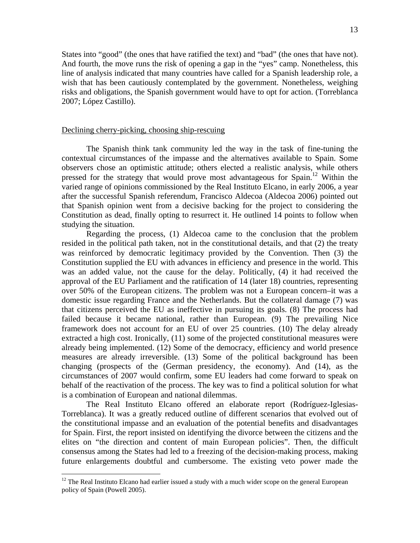States into "good" (the ones that have ratified the text) and "bad" (the ones that have not). And fourth, the move runs the risk of opening a gap in the "yes" camp. Nonetheless, this line of analysis indicated that many countries have called for a Spanish leadership role, a wish that has been cautiously contemplated by the government. Nonetheless, weighing risks and obligations, the Spanish government would have to opt for action. (Torreblanca 2007; López Castillo).

## Declining cherry-picking, choosing ship-rescuing

The Spanish think tank community led the way in the task of fine-tuning the contextual circumstances of the impasse and the alternatives available to Spain. Some observers chose an optimistic attitude; others elected a realistic analysis, while others pressed for the strategy that would prove most advantageous for Spain.<sup>12</sup> Within the varied range of opinions commissioned by the Real Instituto Elcano, in early 2006, a year after the successful Spanish referendum, Francisco Aldecoa (Aldecoa 2006) pointed out that Spanish opinion went from a decisive backing for the project to considering the Constitution as dead, finally opting to resurrect it. He outlined 14 points to follow when studying the situation.

Regarding the process, (1) Aldecoa came to the conclusion that the problem resided in the political path taken, not in the constitutional details, and that (2) the treaty was reinforced by democratic legitimacy provided by the Convention. Then (3) the Constitution supplied the EU with advances in efficiency and presence in the world. This was an added value, not the cause for the delay. Politically, (4) it had received the approval of the EU Parliament and the ratification of 14 (later 18) countries, representing over 50% of the European citizens. The problem was not a European concern–it was a domestic issue regarding France and the Netherlands. But the collateral damage (7) was that citizens perceived the EU as ineffective in pursuing its goals. (8) The process had failed because it became national, rather than European. (9) The prevailing Nice framework does not account for an EU of over 25 countries. (10) The delay already extracted a high cost. Ironically, (11) some of the projected constitutional measures were already being implemented. (12) Some of the democracy, efficiency and world presence measures are already irreversible. (13) Some of the political background has been changing (prospects of the (German presidency, the economy). And (14), as the circumstances of 2007 would confirm, some EU leaders had come forward to speak on behalf of the reactivation of the process. The key was to find a political solution for what is a combination of European and national dilemmas.

The Real Instituto Elcano offered an elaborate report (Rodríguez-Iglesias-Torreblanca). It was a greatly reduced outline of different scenarios that evolved out of the constitutional impasse and an evaluation of the potential benefits and disadvantages for Spain. First, the report insisted on identifying the divorce between the citizens and the elites on "the direction and content of main European policies". Then, the difficult consensus among the States had led to a freezing of the decision-making process, making future enlargements doubtful and cumbersome. The existing veto power made the

 $12$  The Real Instituto Elcano had earlier issued a study with a much wider scope on the general European policy of Spain (Powell 2005).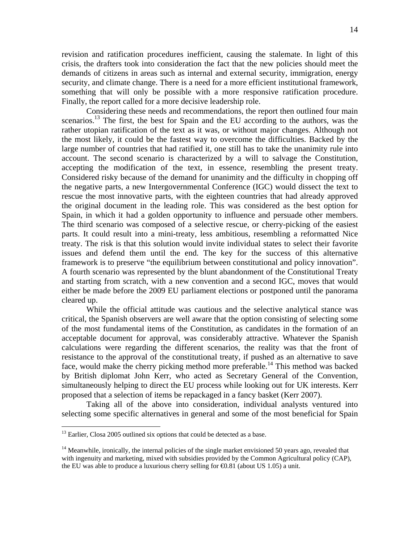revision and ratification procedures inefficient, causing the stalemate. In light of this crisis, the drafters took into consideration the fact that the new policies should meet the demands of citizens in areas such as internal and external security, immigration, energy security, and climate change. There is a need for a more efficient institutional framework, something that will only be possible with a more responsive ratification procedure. Finally, the report called for a more decisive leadership role.

 Considering these needs and recommendations, the report then outlined four main scenarios.<sup>13</sup> The first, the best for Spain and the EU according to the authors, was the rather utopian ratification of the text as it was, or without major changes. Although not the most likely, it could be the fastest way to overcome the difficulties. Backed by the large number of countries that had ratified it, one still has to take the unanimity rule into account. The second scenario is characterized by a will to salvage the Constitution, accepting the modification of the text, in essence, resembling the present treaty. Considered risky because of the demand for unanimity and the difficulty in chopping off the negative parts, a new Intergovernmental Conference (IGC) would dissect the text to rescue the most innovative parts, with the eighteen countries that had already approved the original document in the leading role. This was considered as the best option for Spain, in which it had a golden opportunity to influence and persuade other members. The third scenario was composed of a selective rescue, or cherry-picking of the easiest parts. It could result into a mini-treaty, less ambitious, resembling a reformatted Nice treaty. The risk is that this solution would invite individual states to select their favorite issues and defend them until the end. The key for the success of this alternative framework is to preserve "the equilibrium between constitutional and policy innovation". A fourth scenario was represented by the blunt abandonment of the Constitutional Treaty and starting from scratch, with a new convention and a second IGC, moves that would either be made before the 2009 EU parliament elections or postponed until the panorama cleared up.

While the official attitude was cautious and the selective analytical stance was critical, the Spanish observers are well aware that the option consisting of selecting some of the most fundamental items of the Constitution, as candidates in the formation of an acceptable document for approval, was considerably attractive. Whatever the Spanish calculations were regarding the different scenarios, the reality was that the front of resistance to the approval of the constitutional treaty, if pushed as an alternative to save face, would make the cherry picking method more preferable.<sup>14</sup> This method was backed by British diplomat John Kerr, who acted as Secretary General of the Convention, simultaneously helping to direct the EU process while looking out for UK interests. Kerr proposed that a selection of items be repackaged in a fancy basket (Kerr 2007).

 Taking all of the above into consideration, individual analysts ventured into selecting some specific alternatives in general and some of the most beneficial for Spain

1

 $13$  Earlier, Closa 2005 outlined six options that could be detected as a base.

 $14$  Meanwhile, ironically, the internal policies of the single market envisioned 50 years ago, revealed that with ingenuity and marketing, mixed with subsidies provided by the Common Agricultural policy (CAP), the EU was able to produce a luxurious cherry selling for  $\epsilon$ 0.81 (about US 1.05) a unit.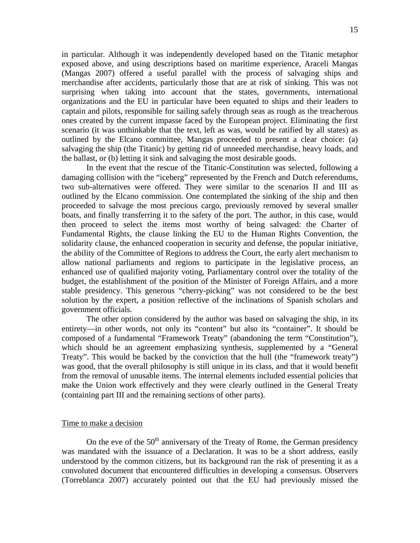in particular. Although it was independently developed based on the Titanic metaphor exposed above, and using descriptions based on maritime experience, Araceli Mangas (Mangas 2007) offered a useful parallel with the process of salvaging ships and merchandise after accidents, particularly those that are at risk of sinking. This was not surprising when taking into account that the states, governments, international organizations and the EU in particular have been equated to ships and their leaders to captain and pilots, responsible for sailing safely through seas as rough as the treacherous ones created by the current impasse faced by the European project. Eliminating the first scenario (it was unthinkable that the text, left as was, would be ratified by all states) as outlined by the Elcano committee, Mangas proceeded to present a clear choice: (a) salvaging the ship (the Titanic) by getting rid of unneeded merchandise, heavy loads, and the ballast, or (b) letting it sink and salvaging the most desirable goods.

 In the event that the rescue of the Titanic-Constitution was selected, following a damaging collision with the "iceberg" represented by the French and Dutch referendums, two sub-alternatives were offered. They were similar to the scenarios II and III as outlined by the Elcano commission. One contemplated the sinking of the ship and then proceeded to salvage the most precious cargo, previously removed by several smaller boats, and finally transferring it to the safety of the port. The author, in this case, would then proceed to select the items most worthy of being salvaged: the Charter of Fundamental Rights, the clause linking the EU to the Human Rights Convention, the solidarity clause, the enhanced cooperation in security and defense, the popular initiative, the ability of the Committee of Regions to address the Court, the early alert mechanism to allow national parliaments and regions to participate in the legislative process, an enhanced use of qualified majority voting, Parliamentary control over the totality of the budget, the establishment of the position of the Minister of Foreign Affairs, and a more stable presidency. This generous "cherry-picking" was not considered to be the best solution by the expert, a position reflective of the inclinations of Spanish scholars and government officials.

 The other option considered by the author was based on salvaging the ship, in its entirety—in other words, not only its "content" but also its "container". It should be composed of a fundamental "Framework Treaty" (abandoning the term "Constitution"), which should be an agreement emphasizing synthesis, supplemented by a "General Treaty". This would be backed by the conviction that the hull (the "framework treaty") was good, that the overall philosophy is still unique in its class, and that it would benefit from the removal of unusable items. The internal elements included essential policies that make the Union work effectively and they were clearly outlined in the General Treaty (containing part III and the remaining sections of other parts).

#### Time to make a decision

On the eve of the  $50<sup>th</sup>$  anniversary of the Treaty of Rome, the German presidency was mandated with the issuance of a Declaration. It was to be a short address, easily understood by the common citizens, but its background ran the risk of presenting it as a convoluted document that encountered difficulties in developing a consensus. Observers (Torreblanca 2007) accurately pointed out that the EU had previously missed the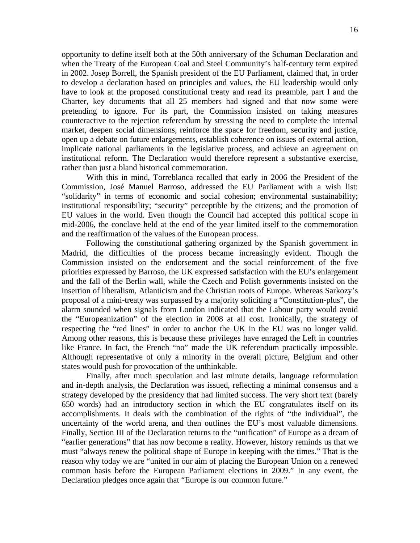opportunity to define itself both at the 50th anniversary of the Schuman Declaration and when the Treaty of the European Coal and Steel Community's half-century term expired in 2002. Josep Borrell, the Spanish president of the EU Parliament, claimed that, in order to develop a declaration based on principles and values, the EU leadership would only have to look at the proposed constitutional treaty and read its preamble, part I and the Charter, key documents that all 25 members had signed and that now some were pretending to ignore. For its part, the Commission insisted on taking measures counteractive to the rejection referendum by stressing the need to complete the internal market, deepen social dimensions, reinforce the space for freedom, security and justice, open up a debate on future enlargements, establish coherence on issues of external action, implicate national parliaments in the legislative process, and achieve an agreement on institutional reform. The Declaration would therefore represent a substantive exercise, rather than just a bland historical commemoration.

With this in mind, Torreblanca recalled that early in 2006 the President of the Commission, José Manuel Barroso, addressed the EU Parliament with a wish list: "solidarity" in terms of economic and social cohesion; environmental sustainability; institutional responsibility; "security" perceptible by the citizens; and the promotion of EU values in the world. Even though the Council had accepted this political scope in mid-2006, the conclave held at the end of the year limited itself to the commemoration and the reaffirmation of the values of the European process.

Following the constitutional gathering organized by the Spanish government in Madrid, the difficulties of the process became increasingly evident. Though the Commission insisted on the endorsement and the social reinforcement of the five priorities expressed by Barroso, the UK expressed satisfaction with the EU's enlargement and the fall of the Berlin wall, while the Czech and Polish governments insisted on the insertion of liberalism, Atlanticism and the Christian roots of Europe. Whereas Sarkozy's proposal of a mini-treaty was surpassed by a majority soliciting a "Constitution-plus", the alarm sounded when signals from London indicated that the Labour party would avoid the "Europeanization" of the election in 2008 at all cost. Ironically, the strategy of respecting the "red lines" in order to anchor the UK in the EU was no longer valid. Among other reasons, this is because these privileges have enraged the Left in countries like France. In fact, the French "no" made the UK referendum practically impossible. Although representative of only a minority in the overall picture, Belgium and other states would push for provocation of the unthinkable.

Finally, after much speculation and last minute details, language reformulation and in-depth analysis, the Declaration was issued, reflecting a minimal consensus and a strategy developed by the presidency that had limited success. The very short text (barely 650 words) had an introductory section in which the EU congratulates itself on its accomplishments. It deals with the combination of the rights of "the individual", the uncertainty of the world arena, and then outlines the EU's most valuable dimensions. Finally, Section III of the Declaration returns to the "unification" of Europe as a dream of "earlier generations" that has now become a reality. However, history reminds us that we must "always renew the political shape of Europe in keeping with the times." That is the reason why today we are "united in our aim of placing the European Union on a renewed common basis before the European Parliament elections in 2009." In any event, the Declaration pledges once again that "Europe is our common future."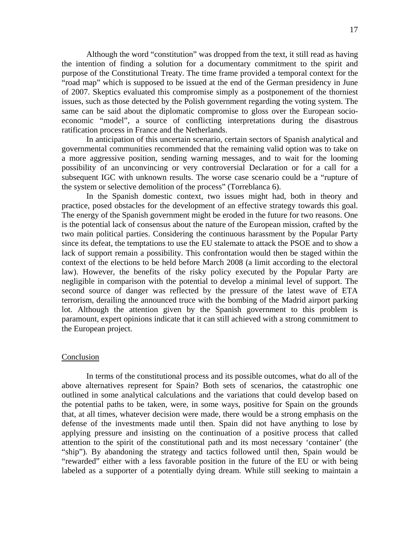Although the word "constitution" was dropped from the text, it still read as having the intention of finding a solution for a documentary commitment to the spirit and purpose of the Constitutional Treaty. The time frame provided a temporal context for the "road map" which is supposed to be issued at the end of the German presidency in June of 2007. Skeptics evaluated this compromise simply as a postponement of the thorniest issues, such as those detected by the Polish government regarding the voting system. The same can be said about the diplomatic compromise to gloss over the European socioeconomic "model", a source of conflicting interpretations during the disastrous ratification process in France and the Netherlands.

In anticipation of this uncertain scenario, certain sectors of Spanish analytical and governmental communities recommended that the remaining valid option was to take on a more aggressive position, sending warning messages, and to wait for the looming possibility of an unconvincing or very controversial Declaration or for a call for a subsequent IGC with unknown results. The worse case scenario could be a "rupture of the system or selective demolition of the process" (Torreblanca 6).

In the Spanish domestic context, two issues might had, both in theory and practice, posed obstacles for the development of an effective strategy towards this goal. The energy of the Spanish government might be eroded in the future for two reasons. One is the potential lack of consensus about the nature of the European mission, crafted by the two main political parties. Considering the continuous harassment by the Popular Party since its defeat, the temptations to use the EU stalemate to attack the PSOE and to show a lack of support remain a possibility. This confrontation would then be staged within the context of the elections to be held before March 2008 (a limit according to the electoral law). However, the benefits of the risky policy executed by the Popular Party are negligible in comparison with the potential to develop a minimal level of support. The second source of danger was reflected by the pressure of the latest wave of ETA terrorism, derailing the announced truce with the bombing of the Madrid airport parking lot. Although the attention given by the Spanish government to this problem is paramount, expert opinions indicate that it can still achieved with a strong commitment to the European project.

#### **Conclusion**

In terms of the constitutional process and its possible outcomes, what do all of the above alternatives represent for Spain? Both sets of scenarios, the catastrophic one outlined in some analytical calculations and the variations that could develop based on the potential paths to be taken, were, in some ways, positive for Spain on the grounds that, at all times, whatever decision were made, there would be a strong emphasis on the defense of the investments made until then. Spain did not have anything to lose by applying pressure and insisting on the continuation of a positive process that called attention to the spirit of the constitutional path and its most necessary 'container' (the "ship"). By abandoning the strategy and tactics followed until then, Spain would be "rewarded" either with a less favorable position in the future of the EU or with being labeled as a supporter of a potentially dying dream. While still seeking to maintain a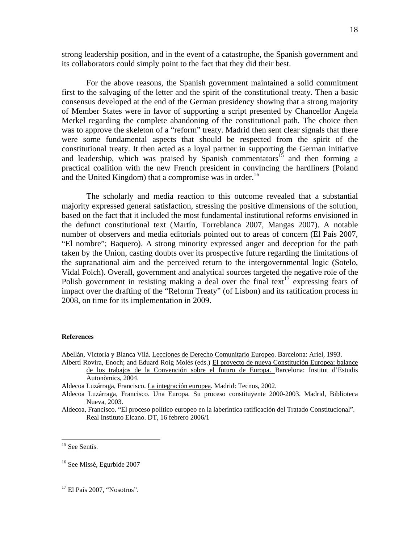strong leadership position, and in the event of a catastrophe, the Spanish government and its collaborators could simply point to the fact that they did their best.

For the above reasons, the Spanish government maintained a solid commitment first to the salvaging of the letter and the spirit of the constitutional treaty. Then a basic consensus developed at the end of the German presidency showing that a strong majority of Member States were in favor of supporting a script presented by Chancellor Angela Merkel regarding the complete abandoning of the constitutional path. The choice then was to approve the skeleton of a "reform" treaty. Madrid then sent clear signals that there were some fundamental aspects that should be respected from the spirit of the constitutional treaty. It then acted as a loyal partner in supporting the German initiative and leadership, which was praised by Spanish commentators<sup>15</sup> and then forming a practical coalition with the new French president in convincing the hardliners (Poland and the United Kingdom) that a compromise was in order.<sup>16</sup>

 The scholarly and media reaction to this outcome revealed that a substantial majority expressed general satisfaction, stressing the positive dimensions of the solution, based on the fact that it included the most fundamental institutional reforms envisioned in the defunct constitutional text (Martín, Torreblanca 2007, Mangas 2007). A notable number of observers and media editorials pointed out to areas of concern (El País 2007, "El nombre"; Baquero). A strong minority expressed anger and deception for the path taken by the Union, casting doubts over its prospective future regarding the limitations of the supranational aim and the perceived return to the intergovernmental logic (Sotelo, Vidal Folch). Overall, government and analytical sources targeted the negative role of the Polish government in resisting making a deal over the final text<sup>17</sup> expressing fears of impact over the drafting of the "Reform Treaty" (of Lisbon) and its ratification process in 2008, on time for its implementation in 2009.

#### **References**

Abellán, Victoria y Blanca Vilá. Lecciones de Derecho Comunitario Europeo. Barcelona: Ariel, 1993.

Albertí Rovira, Enoch; and Eduard Roig Molés (eds.) El proyecto de nueva Constitución Europea: balance de los trabajos de la Convención sobre el futuro de Europa. Barcelona: Institut d'Estudis Autonòmics, 2004.

Aldecoa Luzárraga, Francisco. Una Europa. Su proceso constituyente 2000-2003. Madrid, Biblioteca Nueva, 2003.

Aldecoa, Francisco. "El proceso político europeo en la laberíntica ratificación del Tratado Constitucional". Real Instituto Elcano. DT, 16 febrero 2006/1

Aldecoa Luzárraga, Francisco. La integración europea. Madrid: Tecnos, 2002.

<sup>&</sup>lt;sup>15</sup> See Sentís.

<sup>16</sup> See Missé, Egurbide 2007

<sup>&</sup>lt;sup>17</sup> El País 2007, "Nosotros".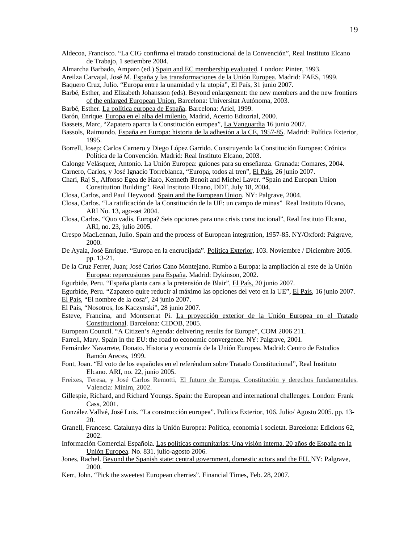Aldecoa, Francisco. "La CIG confirma el tratado constitucional de la Convención", Real Instituto Elcano de Trabajo, 1 setiembre 2004.

Almarcha Barbado, Amparo (ed.) Spain and EC membership evaluated. London: Pinter, 1993.

Areilza Carvajal, José M. España y las transformaciones de la Unión Europea. Madrid: FAES, 1999.

Baquero Cruz, Julio. "Europa entre la unamidad y la utopía", El País, 31 junio 2007.

- Barbé, Esther, and Elizabeth Johansson (eds). Beyond enlargement: the new members and the new frontiers of the enlarged European Union. Barcelona: Universitat Autónoma, 2003.
- Barbé, Esther. La política europea de España. Barcelona: Ariel, 1999.

Barón, Enrique. Europa en el alba del milenio. Madrid, Acento Editorial, 2000.

Bassets, Marc, "Zapatero aparca la Constitución europea", La Vanguardia 16 junio 2007.

- Bassols, Raimundo. España en Europa: historia de la adhesión a la CE, 1957-85. Madrid: Política Exterior, 1995.
- Borrell, Josep; Carlos Carnero y Diego López Garrido. Construyendo la Constitución Europea: Crónica Política de la Convención. Madrid: Real Instituto Elcano, 2003.

Calonge Velásquez, Antonio. La Unión Europea: guiones para su enseñanza. Granada: Comares, 2004.

Carnero, Carlos, y José Ignacio Torreblanca, "Europa, todos al tren", El País, 26 junio 2007.

- Chari, Raj S., Alfonso Egea de Haro, Kenneth Benoit and Michel Laver. "Spain and Europan Union Constitution Building". Real Instituto Elcano, DDT, July 18, 2004.
- Closa, Carlos, and Paul Heywood. Spain and the European Union. NY: Palgrave, 2004.
- Closa, Carlos. "La ratificación de la Constitución de la UE: un campo de minas" Real Instituto Elcano, ARI No. 13, ago-set 2004.
- Closa, Carlos. "Quo vadis, Europa? Seis opciones para una crisis constitucional", Real Instituto Elcano, ARI, no. 23, julio 2005.
- Crespo MacLennan, Julio. Spain and the process of European integration, 1957-85. NY/Oxford: Palgrave, 2000.
- De Ayala, José Enrique. "Europa en la encrucijada". Política Exterior, 103. Noviembre / Diciembre 2005. pp. 13-21.
- De la Cruz Ferrer, Juan; José Carlos Cano Montejano. Rumbo a Europa: la ampliación al este de la Unión Europea: repercusiones para España. Madrid: Dykinson, 2002.
- Egurbide, Peru. "España planta cara a la pretensión de Blair", El País, 20 junio 2007.

Egurbide, Peru. "Zapatero quire reducir al máximo las opciones del veto en la UE", El País, 16 junio 2007.

- El País, "El nombre de la cosa", 24 junio 2007.
- El País, "Nosotros, los Kaczynski", 28 junio 2007.
- Esteve, Francina, and Montserrat Pi. La proyección exterior de la Unión Europea en el Tratado Constitucional. Barcelona: CIDOB, 2005.
- European Council. "A Citizen's Agenda: delivering results for Europe", COM 2006 211.
- Farrell, Mary. Spain in the EU: the road to economic convergence. NY: Palgrave, 2001.
- Fernández Navarrete, Donato. Historia y economía de la Unión Europea. Madrid: Centro de Estudios Ramón Areces, 1999.
- Font, Joan. "El voto de los españoles en el referéndum sobre Tratado Constitucional", Real Instituto Elcano. ARI, no. 22, junio 2005.
- Freixes, Teresa, y José Carlos Remotti, El futuro de Europa. Constitución y derechos fundamentales, Valencia: Minim, 2002.
- Gillespie, Richard, and Richard Youngs. Spain: the European and international challenges. London: Frank Cass, 2001.
- González Vallvé, José Luis. "La construcción europea". Política Exterior, 106. Julio/ Agosto 2005. pp. 13- 20.
- Granell, Francesc. Catalunya dins la Unión Europea: Política, economía i societat. Barcelona: Edicions 62, 2002.
- Información Comercial Española. Las políticas comunitarias: Una visión interna. 20 años de España en la Unión Europea. No. 831. julio-agosto 2006.
- Jones, Rachel. Beyond the Spanish state: central government, domestic actors and the EU. NY: Palgrave, 2000.
- Kerr, John. "Pick the sweetest European cherries". Financial Times, Feb. 28, 2007.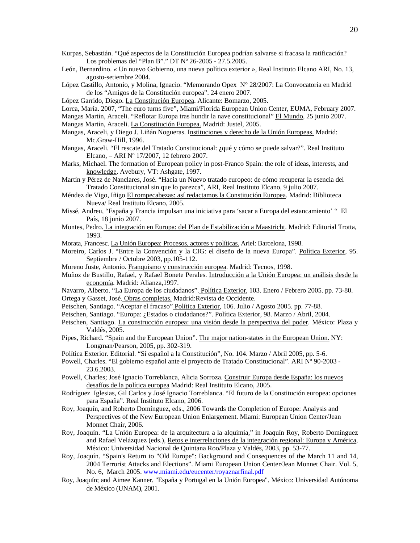- Kurpas, Sebastián. "Qué aspectos de la Constitución Europea podrían salvarse si fracasa la ratificación? Los problemas del "Plan B"." DT Nº 26-2005 - 27.5.2005.
- León, Bernardino. « Un nuevo Gobierno, una nueva política exterior », Real Instituto Elcano ARI, No. 13, agosto-setiembre 2004.
- López Castillo, Antonio, y Molina, Ignacio. "Memorando Opex N° 28/2007: La Convocatoria en Madrid de los "Amigos de la Constitución europea". 24 enero 2007.
- López Garrido, Diego. La Constitución Europea. Alicante: Bomarzo, 2005.
- Lorca, María. 2007, "The euro turns five", Miami/Florida European Union Center, EUMA, February 2007.
- Mangas Martín, Araceli. "Reflotar Europa tras hundir la nave constitucional" El Mundo, 25 junio 2007.

Mangas Martín, Araceli. La Constitución Europea. Madrid: Justel, 2005.

- Mangas, Araceli, y Diego J. Liñán Nogueras. Instituciones y derecho de la Unión Europeas. Madrid: Mc.Graw-Hill, 1996.
- Mangas, Araceli. "El rescate del Tratado Constitucional: ¿qué y cómo se puede salvar?". Real Instituto Elcano, – ARI Nº 17/2007, 12 febrero 2007.
- Marks, Michael. The formation of European policy in post-Franco Spain: the role of ideas, interests, and knowledge. Avebury, VT: Ashgate, 1997.
- Martín y Pérez de Nanclares, José. "Hacia un Nuevo tratado europeo: de cómo recuperar la esencia del Tratado Constitucional sin que lo parezca", ARI, Real Instituto Elcano, 9 julio 2007.
- Méndez de Vigo, Iñigo El rompecabezas: así redactamos la Constitución Europea. Madrid: Biblioteca Nueva/ Real Instituto Elcano, 2005.
- Missé, Andreu, "España y Francia impulsan una iniciativa para 'sacar a Europa del estancamiento' " El País, 18 junio 2007.
- Montes, Pedro. La integración en Europa: del Plan de Estabilización a Maastricht. Madrid: Editorial Trotta, 1993.
- Morata, Francesc. La Unión Europea: Procesos, actores y políticas. Ariel: Barcelona, 1998.
- Moreiro, Carlos J. "Entre la Convención y la CIG: el diseño de la nueva Europa". Política Exterior, 95. Septiembre / Octubre 2003, pp.105-112.
- Moreno Juste, Antonio. Franquismo y construcción europea. Madrid: Tecnos, 1998.
- Muñoz de Bustillo, Rafael, y Rafael Bonete Perales. Introducción a la Unión Europea: un análisis desde la economía. Madrid: Alianza,1997.
- Navarro, Alberto. "La Europa de los ciudadanos". Política Exterior, 103. Enero / Febrero 2005. pp. 73-80. Ortega y Gasset, José. Obras completas. Madrid:Revista de Occidente.
- Petschen, Santiago. "Aceptar el fracaso" Política Exterior, 106. Julio / Agosto 2005. pp. 77-88.
- Petschen, Santiago. "Europa: ¿Estados o ciudadanos?". Política Exterior, 98. Marzo / Abril, 2004.
- Petschen, Santiago. La construcción europea: una visión desde la perspectiva del poder. México: Plaza y Valdés, 2005.
- Pipes, Richard. "Spain and the European Union". The major nation-states in the European Union. NY: Longman/Pearson, 2005, pp. 302-319.
- Política Exterior. Editorial. "Sí español a la Constitución", No. 104. Marzo / Abril 2005, pp. 5-6.
- Powell, Charles. "El gobierno español ante el proyecto de Tratado Constitucional". ARI Nº 90-2003 23.6.2003*.*
- Powell, Charles; José Ignacio Torreblanca, Alicia Sorroza. Construir Europa desde España: los nuevos desafíos de la política europea Madrid: Real Instituto Elcano, 2005.
- Rodríguez Iglesias, Gil Carlos y José Ignacio Torreblanca. "El futuro de la Constitución europea: opciones para España". Real Instituto Elcano, 2006.
- Roy, Joaquín, and Roberto Domínguez, eds., 2006 Towards the Completion of Europe: Analysis and Perspectives of the New European Union Enlargement. Miami: European Union Center/Jean Monnet Chair, 2006.
- Roy, Joaquín. "La Unión Europea: de la arquitectura a la alquimia," in Joaquín Roy, Roberto Domínguez and Rafael Velázquez (eds.), Retos e interrelaciones de la integración regional: Europa y América, México: Universidad Nacional de Quintana Roo/Plaza y Valdés, 2003, pp. 53-77.
- Roy, Joaquín. "Spain's Return to "Old Europe": Background and Consequences of the March 11 and 14, 2004 Terrorist Attacks and Elections". Miami European Union Center/Jean Monnet Chair. Vol. 5, No. 6, March 2005. www.miami.edu/eucenter/royaznarfinal.pdf
- Roy, Joaquín; and Aimee Kanner. "España y Portugal en la Unión Europea". México: Universidad Autónoma de México (UNAM), 2001.